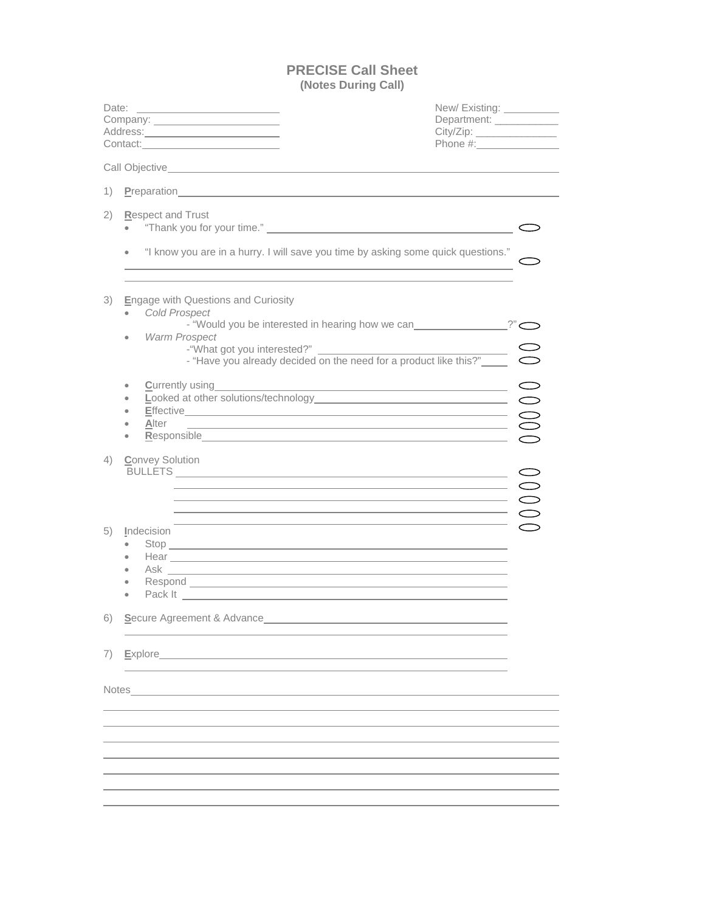## **PRECISE Call Sheet (Notes During Call)**

| Date:                                           | <u> Alexandria de la contrada de la contrada de la contrada de la contrada de la contrada de la contrada de la c</u><br>Company: ________________________<br>Address: <u>Communications</u>                                                                                                                                                                                                                                                                                                                                                                                                                                                                                                                                                                                                                                                                                                                                                                                                  | New/Existing:<br>Department: ____________<br>City/Zip: ________________ |
|-------------------------------------------------|----------------------------------------------------------------------------------------------------------------------------------------------------------------------------------------------------------------------------------------------------------------------------------------------------------------------------------------------------------------------------------------------------------------------------------------------------------------------------------------------------------------------------------------------------------------------------------------------------------------------------------------------------------------------------------------------------------------------------------------------------------------------------------------------------------------------------------------------------------------------------------------------------------------------------------------------------------------------------------------------|-------------------------------------------------------------------------|
|                                                 | Call Objective New York Call Objective                                                                                                                                                                                                                                                                                                                                                                                                                                                                                                                                                                                                                                                                                                                                                                                                                                                                                                                                                       |                                                                         |
| $\left( \begin{array}{c} 1 \end{array} \right)$ | Preparation <u>example and the contract of the contract of the contract of the contract of the contract of the contract of the contract of the contract of the contract of the contract of the contract of the contract of the c</u>                                                                                                                                                                                                                                                                                                                                                                                                                                                                                                                                                                                                                                                                                                                                                         |                                                                         |
| 2)                                              | Respect and Trust                                                                                                                                                                                                                                                                                                                                                                                                                                                                                                                                                                                                                                                                                                                                                                                                                                                                                                                                                                            |                                                                         |
|                                                 | "I know you are in a hurry. I will save you time by asking some quick questions."<br>$\bullet$<br><u> 1989 - Johann Stoff, Amerikaansk politiker (* 1908)</u>                                                                                                                                                                                                                                                                                                                                                                                                                                                                                                                                                                                                                                                                                                                                                                                                                                |                                                                         |
| 3)                                              | <b>Engage with Questions and Curiosity</b><br><b>Cold Prospect</b><br>- "Would you be interested in hearing how we can________________?"<br>Warm Prospect<br>٠<br>- "Have you already decided on the need for a product like this?"                                                                                                                                                                                                                                                                                                                                                                                                                                                                                                                                                                                                                                                                                                                                                          |                                                                         |
|                                                 | $\bullet$<br>Effective Constant Constant Constant Constant Constant Constant Constant Constant Constant Constant Constant Constant Constant Constant Constant Constant Constant Constant Constant Constant Constant Constant Constant Const<br>Responsible Contract of the Contract of the Contract of the Contract of the Contract of Contract of Contract of Contract of Contract of Contract of Contract of Contract of Contract of Contract of Contract of Contract of Co                                                                                                                                                                                                                                                                                                                                                                                                                                                                                                                |                                                                         |
| 4)                                              | <b>Convey Solution</b><br>$\overline{\phantom{a}}$ $\overline{\phantom{a}}$ $\overline{\phantom{a}}$ $\overline{\phantom{a}}$ $\overline{\phantom{a}}$ $\overline{\phantom{a}}$ $\overline{\phantom{a}}$ $\overline{\phantom{a}}$ $\overline{\phantom{a}}$ $\overline{\phantom{a}}$ $\overline{\phantom{a}}$ $\overline{\phantom{a}}$ $\overline{\phantom{a}}$ $\overline{\phantom{a}}$ $\overline{\phantom{a}}$ $\overline{\phantom{a}}$ $\overline{\phantom{a}}$ $\overline{\phantom{a}}$ $\overline{\$<br>$\overline{\phantom{a}}$ $\overline{\phantom{a}}$ $\overline{\phantom{a}}$ $\overline{\phantom{a}}$ $\overline{\phantom{a}}$ $\overline{\phantom{a}}$ $\overline{\phantom{a}}$ $\overline{\phantom{a}}$ $\overline{\phantom{a}}$ $\overline{\phantom{a}}$ $\overline{\phantom{a}}$ $\overline{\phantom{a}}$ $\overline{\phantom{a}}$ $\overline{\phantom{a}}$ $\overline{\phantom{a}}$ $\overline{\phantom{a}}$ $\overline{\phantom{a}}$ $\overline{\phantom{a}}$ $\overline{\$ |                                                                         |
| 5)                                              | and the control of the control of the control of the control of the control of the control of the control of the<br>Indecision<br>Hear <u>experience</u> and the contract of the contract of the contract of the contract of the contract of the contract of the contract of the contract of the contract of the contract of the contract of the contract of the cont<br>$\bullet$                                                                                                                                                                                                                                                                                                                                                                                                                                                                                                                                                                                                           |                                                                         |
|                                                 | 6) Secure Agreement & Advance                                                                                                                                                                                                                                                                                                                                                                                                                                                                                                                                                                                                                                                                                                                                                                                                                                                                                                                                                                |                                                                         |
| 7)                                              | Explore And All And All And All And All And All And All And All And All And All And All And All And All And Al                                                                                                                                                                                                                                                                                                                                                                                                                                                                                                                                                                                                                                                                                                                                                                                                                                                                               |                                                                         |
|                                                 | Notes and the contract of the contract of the contract of the contract of the contract of the contract of the contract of the contract of the contract of the contract of the contract of the contract of the contract of the                                                                                                                                                                                                                                                                                                                                                                                                                                                                                                                                                                                                                                                                                                                                                                |                                                                         |
|                                                 |                                                                                                                                                                                                                                                                                                                                                                                                                                                                                                                                                                                                                                                                                                                                                                                                                                                                                                                                                                                              |                                                                         |
|                                                 |                                                                                                                                                                                                                                                                                                                                                                                                                                                                                                                                                                                                                                                                                                                                                                                                                                                                                                                                                                                              |                                                                         |